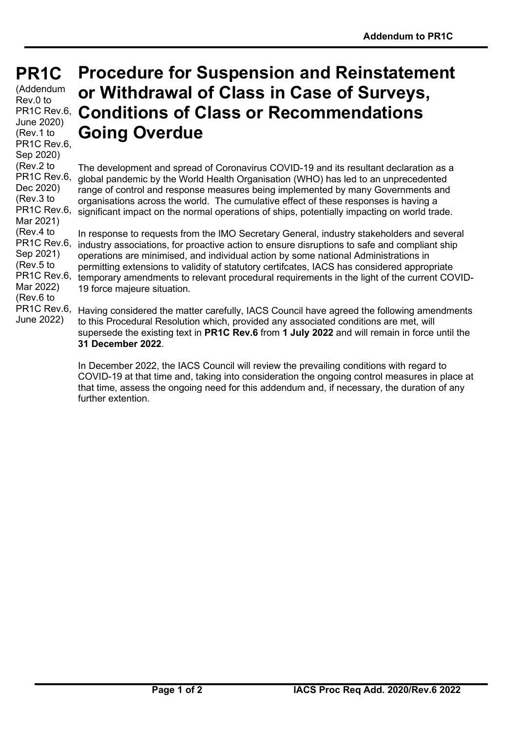**PR1C PR1C**

(Addendum Rev.0 to PR1C Rev.6, June 2020) (Rev.1 to PR<sub>1</sub>C Rev.6, Sep 2020) (Rev.2 to PR1C Rev.6, Dec 2020) (Rev.3 to PR1C Rev.6, Mar 2021) (Rev.4 to PR<sub>1</sub>C Rev.6, Sep 2021) (Rev.5 to PR<sub>1</sub>C Rev.6, Mar 2022) (Rev.6 to PR<sub>1</sub>C Rev.6, June 2022)

## **Procedure for Suspension and Reinstatement or Withdrawal of Class in Case of Surveys, Conditions of Class or Recommendations Going Overdue**

The development and spread of Coronavirus COVID-19 and its resultant declaration as a global pandemic by the World Health Organisation (WHO) has led to an unprecedented range of control and response measures being implemented by many Governments and organisations across the world. The cumulative effect of these responses is having a significant impact on the normal operations of ships, potentially impacting on world trade.

In response to requests from the IMO Secretary General, industry stakeholders and several industry associations, for proactive action to ensure disruptions to safe and compliant ship operations are minimised, and individual action by some national Administrations in permitting extensions to validity of statutory certifcates, IACS has considered appropriate temporary amendments to relevant procedural requirements in the light of the current COVID-19 force majeure situation.

Having considered the matter carefully, IACS Council have agreed the following amendments to this Procedural Resolution which, provided any associated conditions are met, will supersede the existing text in **PR1C Rev.6** from **1 July 2022** and will remain in force until the **31 December 2022**.

In December 2022, the IACS Council will review the prevailing conditions with regard to COVID-19 at that time and, taking into consideration the ongoing control measures in place at that time, assess the ongoing need for this addendum and, if necessary, the duration of any further extention.